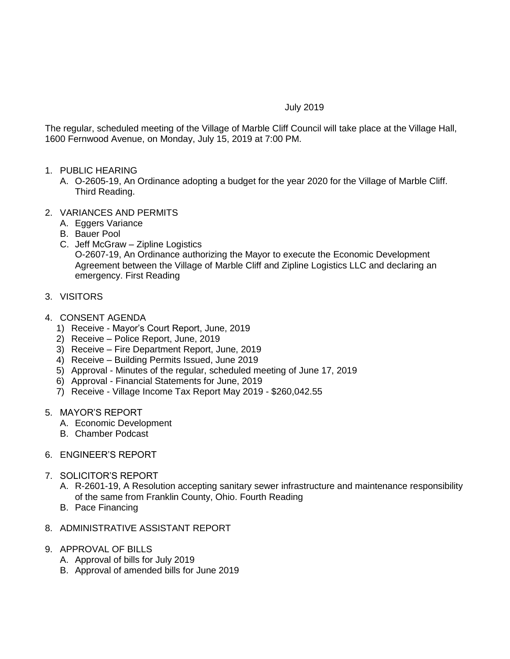## July 2019

The regular, scheduled meeting of the Village of Marble Cliff Council will take place at the Village Hall, 1600 Fernwood Avenue, on Monday, July 15, 2019 at 7:00 PM.

- 1. PUBLIC HEARING
	- A. O-2605-19, An Ordinance adopting a budget for the year 2020 for the Village of Marble Cliff. Third Reading.
- 2. VARIANCES AND PERMITS
	- A. Eggers Variance
	- B. Bauer Pool
	- C. Jeff McGraw Zipline Logistics O-2607-19, An Ordinance authorizing the Mayor to execute the Economic Development Agreement between the Village of Marble Cliff and Zipline Logistics LLC and declaring an emergency. First Reading
- 3. VISITORS
- 4. CONSENT AGENDA
	- 1) Receive Mayor's Court Report, June, 2019
	- 2) Receive Police Report, June, 2019
	- 3) Receive Fire Department Report, June, 2019
	- 4) Receive Building Permits Issued, June 2019
	- 5) Approval Minutes of the regular, scheduled meeting of June 17, 2019
	- 6) Approval Financial Statements for June, 2019
	- 7) Receive Village Income Tax Report May 2019 \$260,042.55
- 5. MAYOR'S REPORT
	- A. Economic Development
	- B. Chamber Podcast
- 6. ENGINEER'S REPORT
- 7. SOLICITOR'S REPORT
	- A. R-2601-19, A Resolution accepting sanitary sewer infrastructure and maintenance responsibility of the same from Franklin County, Ohio. Fourth Reading
	- B. Pace Financing
- 8. ADMINISTRATIVE ASSISTANT REPORT
- 9. APPROVAL OF BILLS
	- A. Approval of bills for July 2019
	- B. Approval of amended bills for June 2019